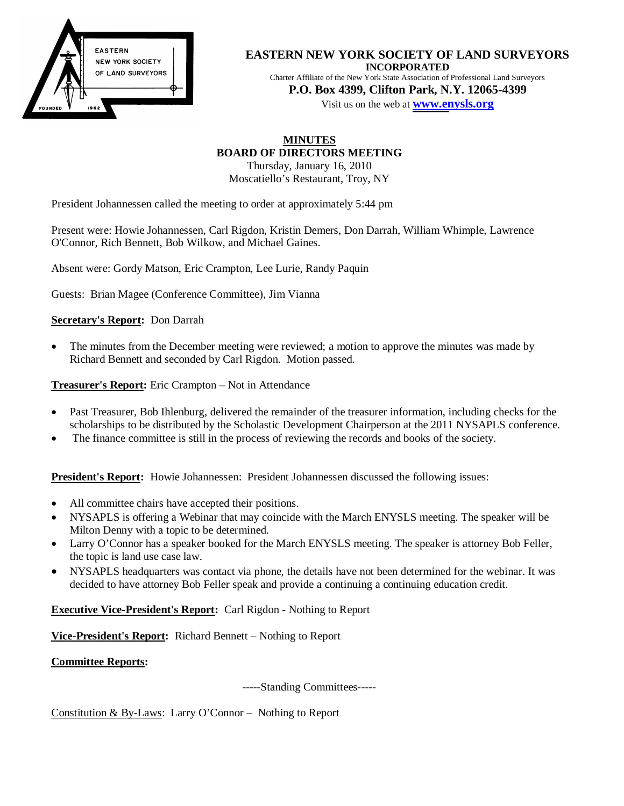

### **EASTERN NEW YORK SOCIETY OF LAND SURVEYORS INCORPORATED**

Charter Affiliate of the New York State Association of Professional Land Surveyors **P.O. Box 4399, Clifton Park, N.Y. 12065-4399** 

Visit us on the web at **[www.en](http://www.enysls.org/)ysls.org**

# **MINUTES BOARD OF DIRECTORS MEETING**

Thursday, January 16, 2010 Moscatiello's Restaurant, Troy, NY

President Johannessen called the meeting to order at approximately 5:44 pm

Present were: Howie Johannessen, Carl Rigdon, Kristin Demers, Don Darrah, William Whimple, Lawrence O'Connor, Rich Bennett, Bob Wilkow, and Michael Gaines.

Absent were: Gordy Matson, Eric Crampton, Lee Lurie, Randy Paquin

Guests: Brian Magee (Conference Committee), Jim Vianna

## **Secretary's Report:** Don Darrah

The minutes from the December meeting were reviewed; a motion to approve the minutes was made by Richard Bennett and seconded by Carl Rigdon. Motion passed.

**Treasurer's Report:** Eric Crampton – Not in Attendance

- Past Treasurer, Bob Ihlenburg, delivered the remainder of the treasurer information, including checks for the scholarships to be distributed by the Scholastic Development Chairperson at the 2011 NYSAPLS conference.
- The finance committee is still in the process of reviewing the records and books of the society.

**President's Report:** Howie Johannessen: President Johannessen discussed the following issues:

- All committee chairs have accepted their positions.
- x NYSAPLS is offering a Webinar that may coincide with the March ENYSLS meeting. The speaker will be Milton Denny with a topic to be determined.
- Larry O'Connor has a speaker booked for the March ENYSLS meeting. The speaker is attorney Bob Feller, the topic is land use case law.
- NYSAPLS headquarters was contact via phone, the details have not been determined for the webinar. It was decided to have attorney Bob Feller speak and provide a continuing a continuing education credit.

**Executive Vice-President's Report:** Carl Rigdon - Nothing to Report

**Vice-President's Report:** Richard Bennett – Nothing to Report

**Committee Reports:**

-----Standing Committees-----

Constitution & By-Laws: Larry O'Connor – Nothing to Report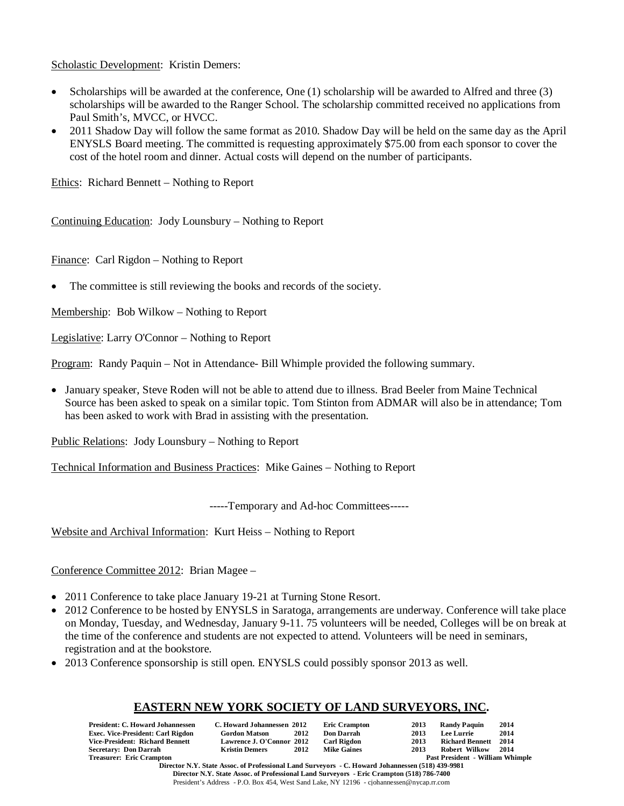Scholastic Development: Kristin Demers:

- Scholarships will be awarded at the conference, One  $(1)$  scholarship will be awarded to Alfred and three  $(3)$ scholarships will be awarded to the Ranger School. The scholarship committed received no applications from Paul Smith's, MVCC, or HVCC.
- 2011 Shadow Day will follow the same format as 2010. Shadow Day will be held on the same day as the April ENYSLS Board meeting. The committed is requesting approximately \$75.00 from each sponsor to cover the cost of the hotel room and dinner. Actual costs will depend on the number of participants.

Ethics: Richard Bennett – Nothing to Report

Continuing Education: Jody Lounsbury – Nothing to Report

Finance: Carl Rigdon – Nothing to Report

• The committee is still reviewing the books and records of the society.

Membership: Bob Wilkow – Nothing to Report

Legislative: Larry O'Connor – Nothing to Report

Program: Randy Paquin – Not in Attendance- Bill Whimple provided the following summary.

• January speaker, Steve Roden will not be able to attend due to illness. Brad Beeler from Maine Technical Source has been asked to speak on a similar topic. Tom Stinton from ADMAR will also be in attendance; Tom has been asked to work with Brad in assisting with the presentation.

Public Relations: Jody Lounsbury – Nothing to Report

Technical Information and Business Practices: Mike Gaines – Nothing to Report

-----Temporary and Ad-hoc Committees-----

Website and Archival Information: Kurt Heiss – Nothing to Report

Conference Committee 2012: Brian Magee –

- 2011 Conference to take place January 19-21 at Turning Stone Resort.
- 2012 Conference to be hosted by ENYSLS in Saratoga, arrangements are underway. Conference will take place on Monday, Tuesday, and Wednesday, January 9-11. 75 volunteers will be needed, Colleges will be on break at the time of the conference and students are not expected to attend. Volunteers will be need in seminars, registration and at the bookstore.
- 2013 Conference sponsorship is still open. ENYSLS could possibly sponsor 2013 as well.

# **EASTERN NEW YORK SOCIETY OF LAND SURVEYORS, INC.**

|                                                         | <b>President: C. Howard Johannessen</b><br><b>Exec. Vice-President: Carl Rigdon</b><br>Vice-President: Richard Bennett<br><b>Secretary: Don Darrah</b> | C. Howard Johannessen 2012<br><b>Gordon Matson</b><br>Lawrence J. O'Connor 2012<br><b>Kristin Demers</b> | 2012<br>2012 | <b>Eric Crampton</b><br><b>Don Darrah</b><br><b>Carl Rigdon</b><br><b>Mike Gaines</b> | 2013<br>2013<br>2013<br>2013 | <b>Randy Paquin</b><br><b>Lee Lurrie</b><br><b>Richard Bennett</b><br>Robert Wilkow | 2014<br>2014<br>2014<br>2014 |  |
|---------------------------------------------------------|--------------------------------------------------------------------------------------------------------------------------------------------------------|----------------------------------------------------------------------------------------------------------|--------------|---------------------------------------------------------------------------------------|------------------------------|-------------------------------------------------------------------------------------|------------------------------|--|
|                                                         | <b>Treasurer: Eric Crampton</b>                                                                                                                        |                                                                                                          |              |                                                                                       |                              | Past President - William Whimple                                                    |                              |  |
| <b>D' JUST OF A CD C LUT LOT CUT LUI (F10) 420-0004</b> |                                                                                                                                                        |                                                                                                          |              |                                                                                       |                              |                                                                                     |                              |  |